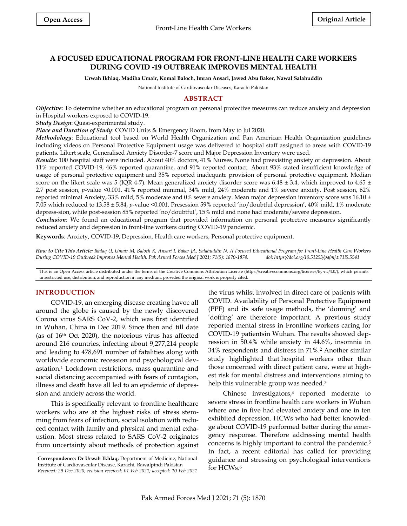# **A FOCUSED EDUCATIONAL PROGRAM FOR FRONT-LINE HEALTH CARE WORKERS DURING COVID -19 OUTBREAK IMPROVES MENTAL HEALTH**

**Urwah Ikhlaq, Madiha Umair, Komal Baloch, Imran Ansari, Jawed Abu Baker, Nawal Salahuddin**

National Institute of Cardiovascular Diseases, Karachi Pakistan

# **ABSTRACT**

*Objective*: To determine whether an educational program on personal protective measures can reduce anxiety and depression in Hospital workers exposed to COVID-19.

*Study Design*: Quasi-experimental study.

*Place and Duration of Study*: COVID Units & Emergency Room, from May to Jul 2020.

*Methodology*: Educational tool based on World Health Organization and Pan American Health Organization guidelines including videos on Personal Protective Equipment usage was delivered to hospital staff assigned to areas with COVID-19 patients. Likert scale, Generalised Anxiety Disorder-7 score and Major Depression Inventory were used.

*Results*: 100 hospital staff were included. About 40% doctors, 41% Nurses. None had preexisting anxiety or depression. About 11% reported COVID-19, 46% reported quarantine, and 91% reported contact. About 93% stated insufficient knowledge of usage of personal protective equipment and 35% reported inadequate provision of personal protective equipment. Median score on the likert scale was 5 (IQR 4-7). Mean generalized anxiety disorder score was  $6.48 \pm 3.4$ , which improved to  $4.65 \pm$ 2.7 post session, *p*-value <0.001. 41% reported minimal, 34% mild, 24% moderate and 1% severe anxiety. Post session, 62% reported minimal Anxiety, 33% mild, 5% moderate and 0% severe anxiety. Mean major depression inventory score was 16.10 ± 7.05 which reduced to 13.58 ± 5.84, *p*-value <0.001. Presession 59% reported 'no/doubtful depression', 40% mild, 1% moderate depress-sion, while post-session 85% reported 'no/doubtful', 15% mild and none had moderate/severe depression.

*Conclusion*: We found an educational program that provided information on personal protective measures significantly reduced anxiety and depression in front-line workers during COVID-19 pandemic.

**Keywords**: Anxiety, COVID-19, Depression, Health care workers, Personal protective equipment.

*How to Cite This Article: Ikhlaq U, Umair M, Baloch K, Ansari I, Baker JA, Salahuddin N. A Focused Educational Program for Front-Line Health Care Workers During COVID-19 Outbreak Improves Mental Health. Pak Armed Forces Med J 2021; 71(5): 1870-1874. doi: https://doi.org/10.51253/pafmj.v71i5.5541*

This is an Open Access article distributed under the terms of the Creative Commons Attribution License (https://creativecommons.org/licenses/by-nc/4.0/), which permits unrestricted use, distribution, and reproduction in any medium, provided the original work is properly cited.

## **INTRODUCTION**

COVID-19, an emerging disease creating havoc all around the globe is caused by the newly discovered Corona virus SARS CoV-2, which was first identified in Wuhan, China in Dec 2019. Since then and till date (as of 16th Oct 2020), the notorious virus has affected around 216 countries, infecting about 9,277,214 people and leading to 478,691 number of fatalities along with worldwide economic recession and psychological devastation. <sup>1</sup> Lockdown restrictions, mass quarantine and social distancing accompanied with fears of contagion, illness and death have all led to an epidemic of depression and anxiety across the world.

This is specifically relevant to frontline healthcare workers who are at the highest risks of stress stemming from fears of infection, social isolation with reduced contact with family and physical and mental exhaustion. Most stress related to SARS CoV-2 originates from uncertainty about methods of protection against the virus whilst involved in direct care of patients with COVID. Availability of Personal Protective Equipment (PPE) and its safe usage methods, the 'donning' and 'doffing' are therefore important. A previous study reported mental stress in Frontline workers caring for COVID-19 patientsin Wuhan. The results showed depression in 50.4% while anxiety in 44.6%, insomnia in 34% respondents and distress in 71%. <sup>2</sup> Another similar study highlighted that hospital workers other than those concerned with direct patient care, were at highest risk for mental distress and interventions aiming to help this vulnerable group was needed. 3

Chinese investigators, <sup>4</sup> reported moderate to severe stress in frontline health care workers in Wuhan where one in five had elevated anxiety and one in ten exhibited depression. HCWs who had better knowledge about COVID-19 performed better during the emergency response. Therefore addressing mental health concerns is highly important to control the pandemic. 5 In fact, a recent editorial has called for providing guidance and stressing on psychological interventions for HCWs. 6

**Correspondence: Dr Urwah Ikhlaq,** Department of Medicine, National Institute of Cardiovascular Disease, Karachi, Rawalpindi Pakistan *Received: 29 Dec 2020; revision received: 01 Feb 2021; accepted: 10 Feb 2021*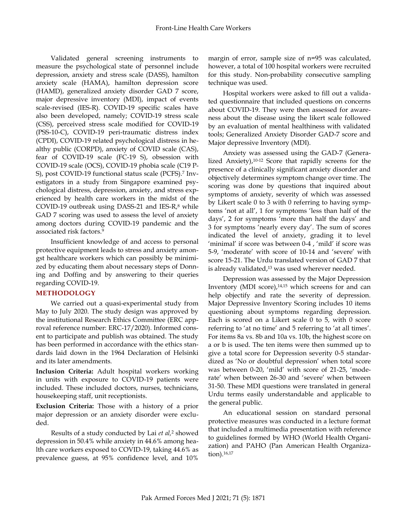Validated general screening instruments to measure the psychological state of personnel include depression, anxiety and stress scale (DASS), hamilton anxiety scale (HAMA), hamilton depression score (HAMD), generalized anxiety disorder GAD 7 score, major depressive inventory (MDI), impact of events scale-revised (IES-R). COVID-19 specific scales have also been developed, namely; COVID-19 stress scale (CSS), perceived stress scale modified for COVID-19 (PSS-10-C), COVID-19 peri-traumatic distress index (CPDI), COVID-19 related psychological distress in healthy public (CORPD), anxiety of COVID scale (CAS), fear of COVID-19 scale (FC-19 S), obsession with COVID-19 scale (OCS), COVID-19 phobia scale (C19 P-S), post COVID-19 functional status scale (PCFS). 7 Investigators in a study from Singapore examined psychological distress, depression, anxiety, and stress experienced by health care workers in the midst of the COVID-19 outbreak using DASS-21 and IES-R, <sup>8</sup> while GAD 7 scoring was used to assess the level of anxiety among doctors during COVID-19 pandemic and the associated risk factors. 9

Insufficient knowledge of and access to personal protective equipment leads to stress and anxiety amongst healthcare workers which can possibly be minimized by educating them about necessary steps of Donning and Doffing and by answering to their queries regarding COVID-19.

# **METHODOLOGY**

We carried out a quasi-experimental study from May to July 2020. The study design was approved by the institutional Research Ethics Committee (ERC approval reference number: ERC-17/2020). Informed consent to participate and publish was obtained. The study has been performed in accordance with the ethics standards laid down in the 1964 Declaration of Helsinki and its later amendments.

**Inclusion Criteria:** Adult hospital workers working in units with exposure to COVID-19 patients were included. These included doctors, nurses, technicians, housekeeping staff, unit receptionists.

**Exclusion Criteria:** Those with a history of a prior major depression or an anxiety disorder were excluded.

 Results of a study conducted by Lai *et al,* <sup>2</sup> showed depression in 50.4% while anxiety in 44.6% among health care workers exposed to COVID-19, taking 44.6% as prevalence guess, at 95% confidence level, and 10%

margin of error, sample size of n=95 was calculated, however, a total of 100 hospital workers were recruited for this study. Non-probability consecutive sampling technique was used.

Hospital workers were asked to fill out a validated questionnaire that included questions on concerns about COVID-19. They were then assessed for awareness about the disease using the likert scale followed by an evaluation of mental healthiness with validated tools; Generalized Anxiety Disorder GAD-7 score and Major depressive Inventory (MDI).

Anxiety was assessed using the GAD-7 (Generalized Anxiety), 10-12 Score that rapidly screens for the presence of a clinically significant anxiety disorder and objectively determines symptom change over time. The scoring was done by questions that inquired about symptoms of anxiety, severity of which was assessed by Likert scale 0 to 3 with 0 referring to having symptoms 'not at all', 1 for symptoms 'less than half of the days', 2 for symptoms 'more than half the days' and 3 for symptoms 'nearly every day'. The sum of scores indicated the level of anxiety, grading it to level 'minimal' if score was between 0-4 , 'mild' if score was 5-9, 'moderate' with score of 10-14 and 'severe' with score 15-21. The Urdu translated version of GAD 7 that is already validated, <sup>13</sup> was used wherever needed.

Depression was assessed by the Major Depression Inventory (MDI score), 14,15 which screens for and can help objectify and rate the severity of depression. Major Depressive Inventory Scoring includes 10 items questioning about symptoms regarding depression. Each is scored on a Likert scale 0 to 5, with 0 score referring to 'at no time' and 5 referring to 'at all times'. For items 8a vs. 8b and 10a vs. 10b, the highest score on a or b is used. The ten items were then summed up to give a total score for Depression severity 0-5 standardized as 'No or doubtful depression' when total score was between 0-20, 'mild' with score of 21-25, 'moderate' when between 26-30 and 'severe' when between 31-50. These MDI questions were translated in general Urdu terms easily understandable and applicable to the general public.

An educational session on standard personal protective measures was conducted in a lecture format that included a multimedia presentation with reference to guidelines formed by WHO (World Health Organization) and PAHO (Pan American Health Organization). 16,17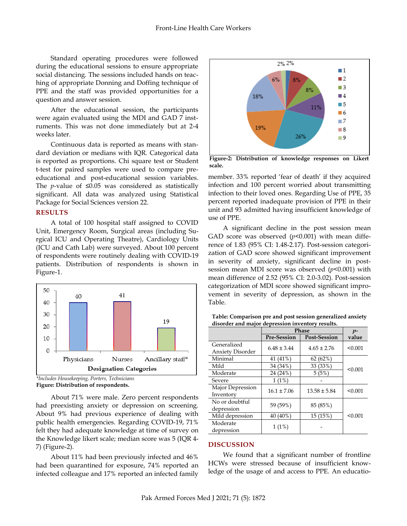Standard operating procedures were followed during the educational sessions to ensure appropriate social distancing. The sessions included hands on teaching of appropriate Donning and Doffing technique of PPE and the staff was provided opportunities for a question and answer session.

After the educational session, the participants were again evaluated using the MDI and GAD 7 instruments. This was not done immediately but at 2-4 weeks later.

Continuous data is reported as means with standard deviation or medians with IQR. Categorical data is reported as proportions. Chi square test or Student t-test for paired samples were used to compare preeducational and post-educational session variables. The *p*-value of ≤0.05 was considered as statistically significant. All data was analyzed using Statistical Package for Social Sciences version 22.

## **RESULTS**

A total of 100 hospital staff assigned to COVID Unit, Emergency Room, Surgical areas (including Surgical ICU and Operating Theatre), Cardiology Units (ICU and Cath Lab) were surveyed. About 100 percent of respondents were routinely dealing with COVID-19 patients. Distribution of respondents is shown in Figure-1.



*<sup>\*</sup>Includes Housekeeping, Porters, Technicians* **Figure: Distribution of respondents.**

About 71% were male. Zero percent respondents had preexisting anxiety or depression on screening. About 9% had previous experience of dealing with public health emergencies. Regarding COVID-19, 71% felt they had adequate knowledge at time of survey on the Knowledge likert scale; median score was 5 (IQR 4- 7) (Figure-2).

About 11% had been previously infected and 46% had been quarantined for exposure, 74% reported an infected colleague and 17% reported an infected family



**Figure-2: Distribution of knowledge responses on Likert scale.**

member. 33% reported 'fear of death' if they acquired infection and 100 percent worried about transmitting infection to their loved ones. Regarding Use of PPE, 35 percent reported inadequate provision of PPE in their unit and 93 admitted having insufficient knowledge of use of PPE.

A significant decline in the post session mean GAD score was observed ( $p$ <0.001) with mean difference of 1.83 (95% CI: 1.48-2.17). Post-session categorization of GAD score showed significant improvement in severity of anxiety, significant decline in postsession mean MDI score was observed (*p*<0.001) with mean difference of 2.52 (95% CI: 2.0-3.02). Post-session categorization of MDI score showed significant improvement in severity of depression, as shown in the Table.

**Table: Comparison pre and post session generalized anxiety disorder and major depression inventory results.**

|                         | <b>Phase</b>       |                     | $p-$    |
|-------------------------|--------------------|---------------------|---------|
|                         | <b>Pre-Session</b> | <b>Post-Session</b> | value   |
| Generalized             | $6.48 \pm 3.44$    | $4.65 \pm 2.76$     | < 0.001 |
| <b>Anxiety Disorder</b> |                    |                     |         |
| Minimal                 | 41 (41%)           | 62(62%)             |         |
| Mild                    | 34 (34%)           | 33 (33%)            | < 0.001 |
| Moderate                | 24 (24%)           | 5(5%)               |         |
| Severe                  | 1(1%)              |                     |         |
| Major Depression        | $16.1 \pm 7.06$    | $13.58 \pm 5.84$    | < 0.001 |
| Inventory               |                    |                     |         |
| No or doubtful          |                    | 85 (85%)            |         |
| depression              | 59 (59%)           |                     |         |
| Mild depression         | 40 (40%)           | 15 (15%)            | < 0.001 |
| Moderate                |                    |                     |         |
| depression              | 1(1%)              |                     |         |

## **DISCUSSION**

We found that a significant number of frontline HCWs were stressed because of insufficient knowledge of the usage of and access to PPE. An educatio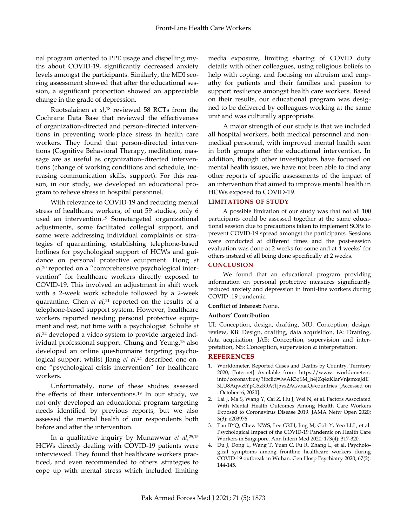nal program oriented to PPE usage and dispelling myths about COVID-19, significantly decreased anxiety levels amongst the participants. Similarly, the MDI scoring assessment showed that after the educational session, a significant proportion showed an appreciable change in the grade of depression.

Ruotsalainen *et al*, <sup>18</sup> reviewed 58 RCTs from the Cochrane Data Base that reviewed the effectiveness of organization-directed and person-directed interventions in preventing work-place stress in health care workers. They found that person-directed interventions (Cognitive Behavioral Therapy, meditation, massage are as useful as organization–directed interventions (change of working conditions and schedule, increasing communication skills, support). For this reason, in our study, we developed an educational program to relieve stress in hospital personnel.

With relevance to COVID-19 and reducing mental stress of healthcare workers, of out 59 studies, only 6 used an intervention. <sup>19</sup> Sometargeted organizational adjustments, some facilitated collegial support, and some were addressing individual complaints or strategies of quarantining, establishing telephone-based hotlines for psychological support of HCWs and guidance on personal protective equipment. Hong *et al,* <sup>20</sup> reported on a "comprehensive psychological intervention" for healthcare workers directly exposed to COVID-19. This involved an adjustment in shift work with a 2-week work schedule followed by a 2-week quarantine. Chen *et al,* <sup>21</sup> reported on the results of a telephone-based support system. However, healthcare workers reported needing personal protective equipment and rest, not time with a psychologist. Schulte *et al*. <sup>22</sup> developed a video system to provide targeted individual professional support. Chung and Yeung, <sup>23</sup> also developed an online questionnaire targeting psychological support whilst Jiang *et al*. <sup>24</sup> described one-onone "psychological crisis intervention" for healthcare workers.

Unfortunately, none of these studies assessed the effects of their interventions. <sup>19</sup> In our study, we not only developed an educational program targeting needs identified by previous reports, but we also assessed the mental health of our respondents both before and after the intervention.

In a qualitative inquiry by Munawwar *et al,* 25,15 HCWs directly dealing with COVID-19 patients were interviewed. They found that healthcare workers practiced, and even recommended to others ,strategies to cope up with mental stress which included limiting media exposure, limiting sharing of COVID duty details with other colleagues, using religious beliefs to help with coping, and focusing on altruism and empathy for patients and their families and passion to support resilience amongst health care workers. Based on their results, our educational program was designed to be delivered by colleagues working at the same unit and was culturally appropriate.

A major strength of our study is that we included all hospital workers, both medical personnel and nonmedical personnel, with improved mental health seen in both groups after the educational intervention. In addition, though other investigators have focused on mental health issues, we have not been able to find any other reports of specific assessments of the impact of an intervention that aimed to improve mental health in HCWs exposed to COVID-19.

## **LIMITATIONS OF STUDY**

A possible limitation of our study was that not all 100 participants could be assessed together at the same educational session due to precautions taken to implement SOPs to prevent COVID-19 spread amongst the participants. Sessions were conducted at different times and the post-session evaluation was done at 2 weeks for some and at 4 weeks' for others instead of all being done specifically at 2 weeks.

### **CONCLUSION**

We found that an educational program providing information on personal protective measures significantly reduced anxiety and depression in front-line workers during COVID -19 pandemic.

### **Conflict of Interest:** None.

### **Authors' Contribution**

UI: Conception, design, drafting, MU: Conception, design, review, KB: Design, drafting, data acquisition, IA: Drafting, data acquisition, JAB: Conception, supervision and interpretation, NS: Conception, supervision & interpretation.

## **REFERENCES**

- 1. Worldometer. Reported Cases and Deaths by Country, Territory 2020, [Internet] Available from: https://www. worldometers. info/coronavirus/?fbclid=IwAR3qSM\_h4JZq4zKIarVnjsmxeJdE 3LU8AqwztYpG5zR9AtTj5vs2AGvraaQ#countries [Accessed on : October16, 2020].
- 2. Lai J, Ma S, Wang Y, Cai Z, Hu J, Wei N, et al. Factors Associated With Mental Health Outcomes Among Health Care Workers Exposed to Coronavirus Disease 2019. JAMA Netw Open 2020; 3(3): e203976.
- 3. Tan BYQ, Chew NWS, Lee GKH, Jing M, Goh Y, Yeo LLL, et al. Psychological Impact of the COVID-19 Pandemic on Health Care Workers in Singapore. Ann Intern Med 2020; 173(4): 317-320.
- 4. Du J, Dong L, Wang T, Yuan C, Fu R, Zhang L, et al. Psychological symptoms among frontline healthcare workers during COVID-19 outbreak in Wuhan. Gen Hosp Psychiatry 2020; 67(2): 144-145.